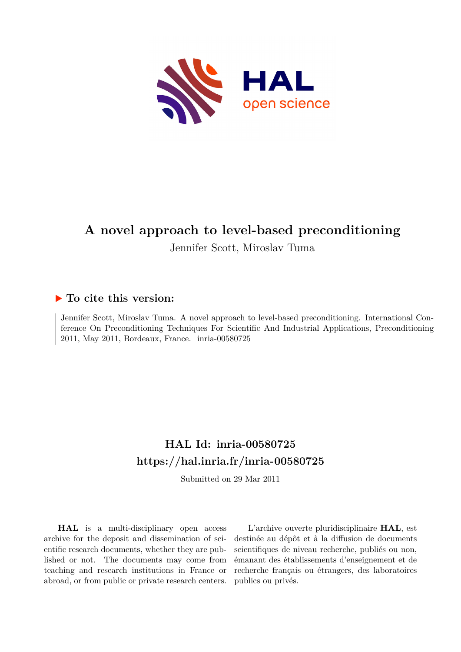

# **A novel approach to level-based preconditioning**

Jennifer Scott, Miroslav Tuma

## **To cite this version:**

Jennifer Scott, Miroslav Tuma. A novel approach to level-based preconditioning. International Conference On Preconditioning Techniques For Scientific And Industrial Applications, Preconditioning 2011, May 2011, Bordeaux, France. inria-00580725

## **HAL Id: inria-00580725 <https://hal.inria.fr/inria-00580725>**

Submitted on 29 Mar 2011

**HAL** is a multi-disciplinary open access archive for the deposit and dissemination of scientific research documents, whether they are published or not. The documents may come from teaching and research institutions in France or abroad, or from public or private research centers.

L'archive ouverte pluridisciplinaire **HAL**, est destinée au dépôt et à la diffusion de documents scientifiques de niveau recherche, publiés ou non, émanant des établissements d'enseignement et de recherche français ou étrangers, des laboratoires publics ou privés.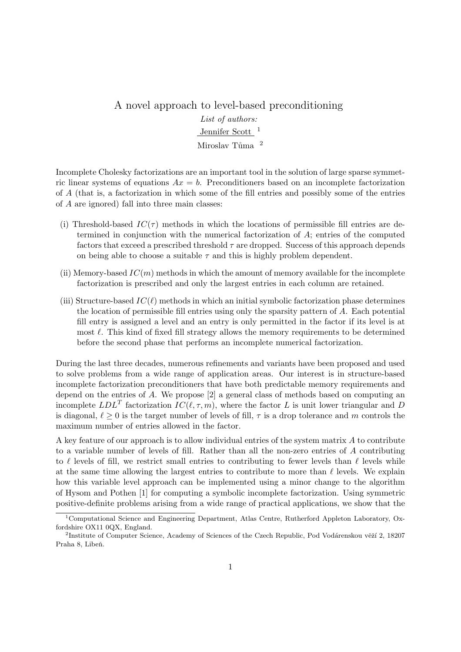### A novel approach to level-based preconditioning List of authors: Jennifer Scott<sup>1</sup> Miroslav Tůma<sup>2</sup>

Incomplete Cholesky factorizations are an important tool in the solution of large sparse symmetric linear systems of equations  $Ax = b$ . Preconditioners based on an incomplete factorization of A (that is, a factorization in which some of the fill entries and possibly some of the entries of A are ignored) fall into three main classes:

- (i) Threshold-based  $IC(\tau)$  methods in which the locations of permissible fill entries are determined in conjunction with the numerical factorization of A; entries of the computed factors that exceed a prescribed threshold  $\tau$  are dropped. Success of this approach depends on being able to choose a suitable  $\tau$  and this is highly problem dependent.
- (ii) Memory-based  $IC(m)$  methods in which the amount of memory available for the incomplete factorization is prescribed and only the largest entries in each column are retained.
- (iii) Structure-based  $IC(\ell)$  methods in which an initial symbolic factorization phase determines the location of permissible fill entries using only the sparsity pattern of A. Each potential fill entry is assigned a level and an entry is only permitted in the factor if its level is at most  $\ell$ . This kind of fixed fill strategy allows the memory requirements to be determined before the second phase that performs an incomplete numerical factorization.

During the last three decades, numerous refinements and variants have been proposed and used to solve problems from a wide range of application areas. Our interest is in structure-based incomplete factorization preconditioners that have both predictable memory requirements and depend on the entries of A. We propose [2] a general class of methods based on computing an incomplete  $LDL^{T}$  factorization  $IC(\ell, \tau, m)$ , where the factor L is unit lower triangular and D is diagonal,  $\ell \geq 0$  is the target number of levels of fill,  $\tau$  is a drop tolerance and m controls the maximum number of entries allowed in the factor.

A key feature of our approach is to allow individual entries of the system matrix A to contribute to a variable number of levels of fill. Rather than all the non-zero entries of A contributing to  $\ell$  levels of fill, we restrict small entries to contributing to fewer levels than  $\ell$  levels while at the same time allowing the largest entries to contribute to more than  $\ell$  levels. We explain how this variable level approach can be implemented using a minor change to the algorithm of Hysom and Pothen [1] for computing a symbolic incomplete factorization. Using symmetric positive-definite problems arising from a wide range of practical applications, we show that the

<sup>1</sup>Computational Science and Engineering Department, Atlas Centre, Rutherford Appleton Laboratory, Oxfordshire OX11 0QX, England.

<sup>&</sup>lt;sup>2</sup>Institute of Computer Science, Academy of Sciences of the Czech Republic, Pod Vodárenskou věží 2, 18207 Praha 8, Libeň.